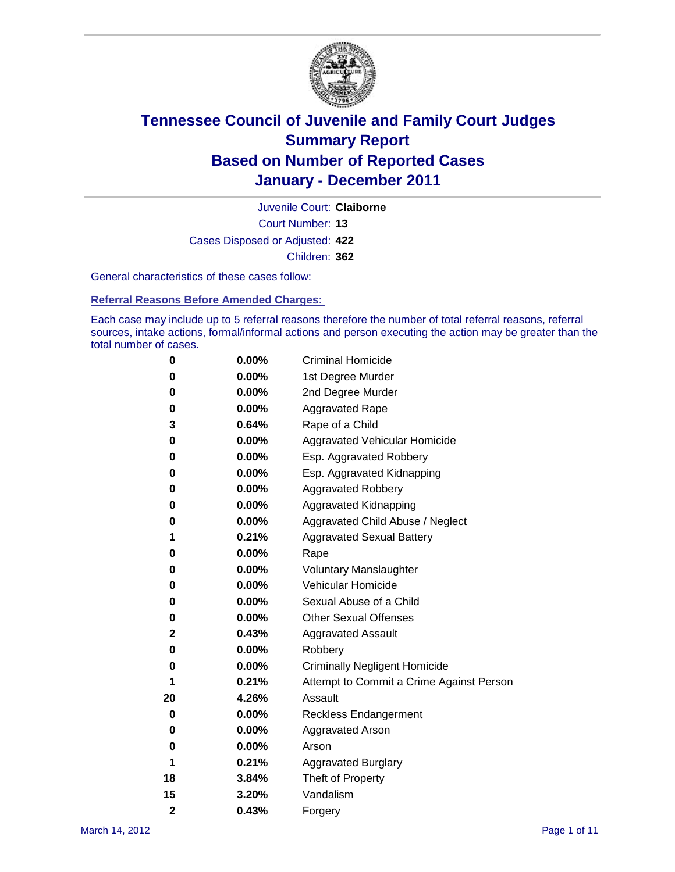

Court Number: **13** Juvenile Court: **Claiborne** Cases Disposed or Adjusted: **422** Children: **362**

General characteristics of these cases follow:

**Referral Reasons Before Amended Charges:** 

Each case may include up to 5 referral reasons therefore the number of total referral reasons, referral sources, intake actions, formal/informal actions and person executing the action may be greater than the total number of cases.

| 0              | 0.00%    | <b>Criminal Homicide</b>                 |  |  |  |
|----------------|----------|------------------------------------------|--|--|--|
| 0              | 0.00%    | 1st Degree Murder                        |  |  |  |
| 0              | 0.00%    | 2nd Degree Murder                        |  |  |  |
| 0              | 0.00%    | <b>Aggravated Rape</b>                   |  |  |  |
| 3              | 0.64%    | Rape of a Child                          |  |  |  |
| 0              | 0.00%    | Aggravated Vehicular Homicide            |  |  |  |
| 0              | 0.00%    | Esp. Aggravated Robbery                  |  |  |  |
| 0              | 0.00%    | Esp. Aggravated Kidnapping               |  |  |  |
| 0              | 0.00%    | <b>Aggravated Robbery</b>                |  |  |  |
| 0              | 0.00%    | Aggravated Kidnapping                    |  |  |  |
| 0              | 0.00%    | Aggravated Child Abuse / Neglect         |  |  |  |
| 1              | 0.21%    | <b>Aggravated Sexual Battery</b>         |  |  |  |
| 0              | 0.00%    | Rape                                     |  |  |  |
| 0              | 0.00%    | <b>Voluntary Manslaughter</b>            |  |  |  |
| 0              | 0.00%    | Vehicular Homicide                       |  |  |  |
| 0              | 0.00%    | Sexual Abuse of a Child                  |  |  |  |
| 0              | 0.00%    | <b>Other Sexual Offenses</b>             |  |  |  |
| 2              | 0.43%    | <b>Aggravated Assault</b>                |  |  |  |
| 0              | $0.00\%$ | Robbery                                  |  |  |  |
| 0              | 0.00%    | <b>Criminally Negligent Homicide</b>     |  |  |  |
| 1              | 0.21%    | Attempt to Commit a Crime Against Person |  |  |  |
| 20             | 4.26%    | Assault                                  |  |  |  |
| 0              | 0.00%    | <b>Reckless Endangerment</b>             |  |  |  |
| 0              | 0.00%    | <b>Aggravated Arson</b>                  |  |  |  |
| 0              | 0.00%    | Arson                                    |  |  |  |
| 1              | 0.21%    | <b>Aggravated Burglary</b>               |  |  |  |
| 18             | 3.84%    | Theft of Property                        |  |  |  |
| 15             | 3.20%    | Vandalism                                |  |  |  |
| $\overline{2}$ | 0.43%    | Forgery                                  |  |  |  |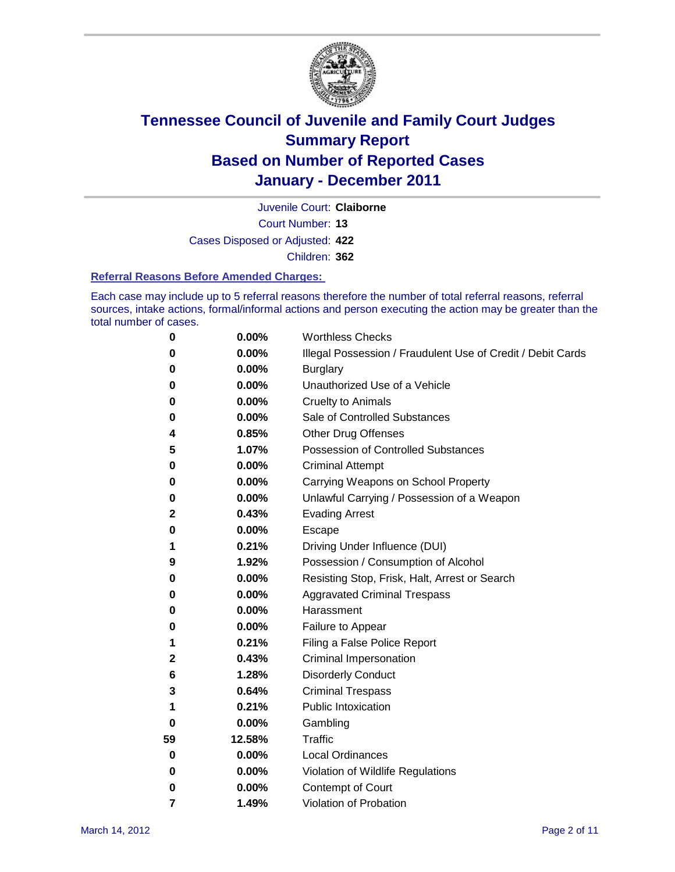

Court Number: **13** Juvenile Court: **Claiborne** Cases Disposed or Adjusted: **422**

Children: **362**

#### **Referral Reasons Before Amended Charges:**

Each case may include up to 5 referral reasons therefore the number of total referral reasons, referral sources, intake actions, formal/informal actions and person executing the action may be greater than the total number of cases.

| 0  | 0.00%  | <b>Worthless Checks</b>                                     |
|----|--------|-------------------------------------------------------------|
| 0  | 0.00%  | Illegal Possession / Fraudulent Use of Credit / Debit Cards |
| 0  | 0.00%  | <b>Burglary</b>                                             |
| 0  | 0.00%  | Unauthorized Use of a Vehicle                               |
| 0  | 0.00%  | <b>Cruelty to Animals</b>                                   |
| 0  | 0.00%  | Sale of Controlled Substances                               |
| 4  | 0.85%  | <b>Other Drug Offenses</b>                                  |
| 5  | 1.07%  | <b>Possession of Controlled Substances</b>                  |
| 0  | 0.00%  | <b>Criminal Attempt</b>                                     |
| 0  | 0.00%  | Carrying Weapons on School Property                         |
| 0  | 0.00%  | Unlawful Carrying / Possession of a Weapon                  |
| 2  | 0.43%  | <b>Evading Arrest</b>                                       |
| 0  | 0.00%  | Escape                                                      |
| 1  | 0.21%  | Driving Under Influence (DUI)                               |
| 9  | 1.92%  | Possession / Consumption of Alcohol                         |
| 0  | 0.00%  | Resisting Stop, Frisk, Halt, Arrest or Search               |
| 0  | 0.00%  | <b>Aggravated Criminal Trespass</b>                         |
| 0  | 0.00%  | Harassment                                                  |
| 0  | 0.00%  | Failure to Appear                                           |
| 1  | 0.21%  | Filing a False Police Report                                |
| 2  | 0.43%  | Criminal Impersonation                                      |
| 6  | 1.28%  | <b>Disorderly Conduct</b>                                   |
| 3  | 0.64%  | <b>Criminal Trespass</b>                                    |
| 1  | 0.21%  | <b>Public Intoxication</b>                                  |
| 0  | 0.00%  | Gambling                                                    |
| 59 | 12.58% | <b>Traffic</b>                                              |
| 0  | 0.00%  | <b>Local Ordinances</b>                                     |
| 0  | 0.00%  | Violation of Wildlife Regulations                           |
| 0  | 0.00%  | Contempt of Court                                           |
| 7  | 1.49%  | Violation of Probation                                      |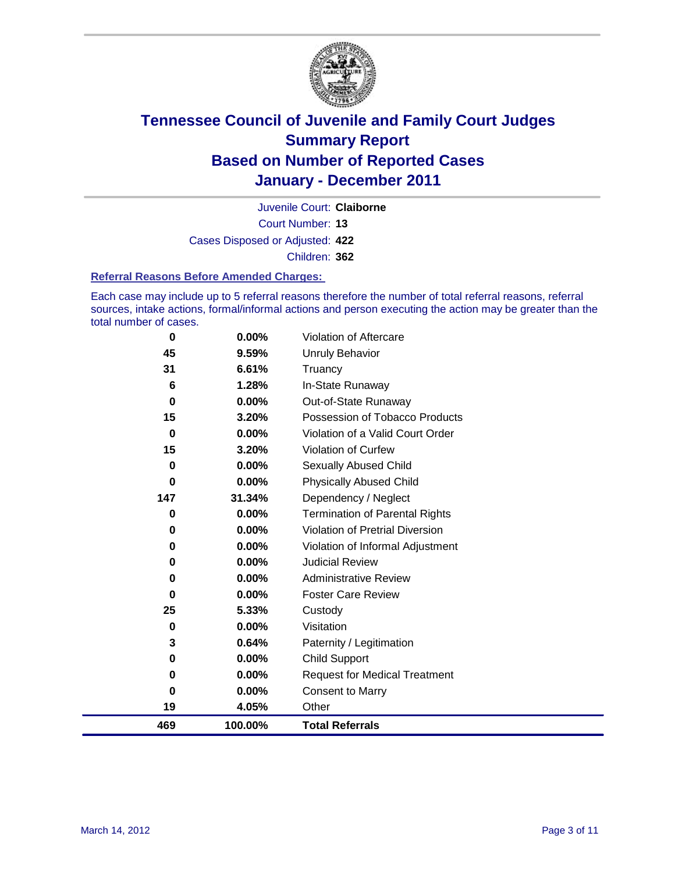

Court Number: **13** Juvenile Court: **Claiborne** Cases Disposed or Adjusted: **422** Children: **362**

#### **Referral Reasons Before Amended Charges:**

Each case may include up to 5 referral reasons therefore the number of total referral reasons, referral sources, intake actions, formal/informal actions and person executing the action may be greater than the total number of cases.

| 0           | 0.00%    | Violation of Aftercare                 |
|-------------|----------|----------------------------------------|
| 45          | 9.59%    | <b>Unruly Behavior</b>                 |
| 31          | 6.61%    | Truancy                                |
| 6           | 1.28%    | In-State Runaway                       |
| 0           | 0.00%    | Out-of-State Runaway                   |
| 15          | 3.20%    | Possession of Tobacco Products         |
| $\mathbf 0$ | $0.00\%$ | Violation of a Valid Court Order       |
| 15          | 3.20%    | Violation of Curfew                    |
| 0           | 0.00%    | <b>Sexually Abused Child</b>           |
| $\bf{0}$    | 0.00%    | <b>Physically Abused Child</b>         |
| 147         | 31.34%   | Dependency / Neglect                   |
| 0           | 0.00%    | Termination of Parental Rights         |
| 0           | 0.00%    | <b>Violation of Pretrial Diversion</b> |
| 0           | 0.00%    | Violation of Informal Adjustment       |
| 0           | 0.00%    | <b>Judicial Review</b>                 |
| 0           | 0.00%    | <b>Administrative Review</b>           |
| 0           | 0.00%    | <b>Foster Care Review</b>              |
| 25          | 5.33%    | Custody                                |
| 0           | 0.00%    | Visitation                             |
| 3           | 0.64%    | Paternity / Legitimation               |
| 0           | 0.00%    | <b>Child Support</b>                   |
| 0           | 0.00%    | <b>Request for Medical Treatment</b>   |
| 0           | 0.00%    | <b>Consent to Marry</b>                |
| 19          | 4.05%    | Other                                  |
| 469         | 100.00%  | <b>Total Referrals</b>                 |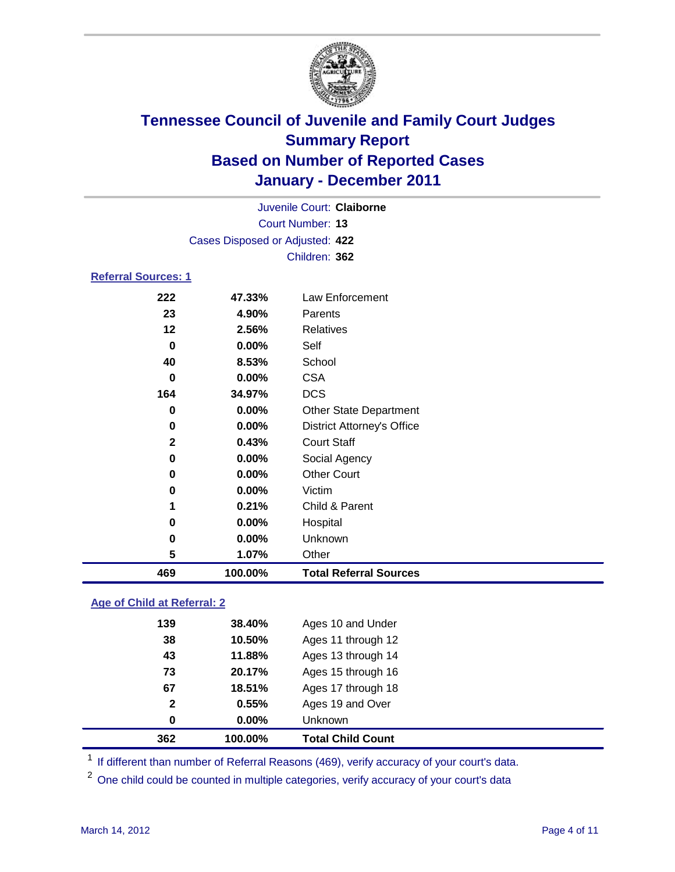

|                            |                                 | Juvenile Court: Claiborne         |
|----------------------------|---------------------------------|-----------------------------------|
|                            |                                 | Court Number: 13                  |
|                            | Cases Disposed or Adjusted: 422 |                                   |
|                            |                                 | Children: 362                     |
| <b>Referral Sources: 1</b> |                                 |                                   |
| 222                        | 47.33%                          | Law Enforcement                   |
| 23                         | 4.90%                           | Parents                           |
| 12                         | 2.56%                           | <b>Relatives</b>                  |
| 0                          | $0.00\%$                        | Self                              |
| 40                         | 8.53%                           | School                            |
| 0                          | 0.00%                           | <b>CSA</b>                        |
| 164                        | 34.97%                          | <b>DCS</b>                        |
| 0                          | 0.00%                           | <b>Other State Department</b>     |
| 0                          | $0.00\%$                        | <b>District Attorney's Office</b> |
| $\mathbf{2}$               | 0.43%                           | <b>Court Staff</b>                |
| 0                          | $0.00\%$                        | Social Agency                     |
| 0                          | $0.00\%$                        | <b>Other Court</b>                |
| 0                          | $0.00\%$                        | Victim                            |
| 1                          | 0.21%                           | Child & Parent                    |
| 0                          | $0.00\%$                        | Hospital                          |

### **0.00%** Unknown **1.07%** Other **100.00% Total Referral Sources**

### **Age of Child at Referral: 2**

| 20.17%<br>73<br>67<br>18.51%<br>0.55%<br>$\mathbf{2}$<br>$0.00\%$<br>0 | Ages 15 through 16<br>Ages 17 through 18<br>Ages 19 and Over<br><b>Unknown</b> |                             |
|------------------------------------------------------------------------|--------------------------------------------------------------------------------|-----------------------------|
|                                                                        |                                                                                |                             |
|                                                                        |                                                                                |                             |
|                                                                        |                                                                                |                             |
|                                                                        |                                                                                |                             |
| 43                                                                     | 11.88%<br>Ages 13 through 14                                                   |                             |
| 38<br>10.50%                                                           | Ages 11 through 12                                                             |                             |
|                                                                        |                                                                                |                             |
|                                                                        | 139                                                                            | 38.40%<br>Ages 10 and Under |

<sup>1</sup> If different than number of Referral Reasons (469), verify accuracy of your court's data.

<sup>2</sup> One child could be counted in multiple categories, verify accuracy of your court's data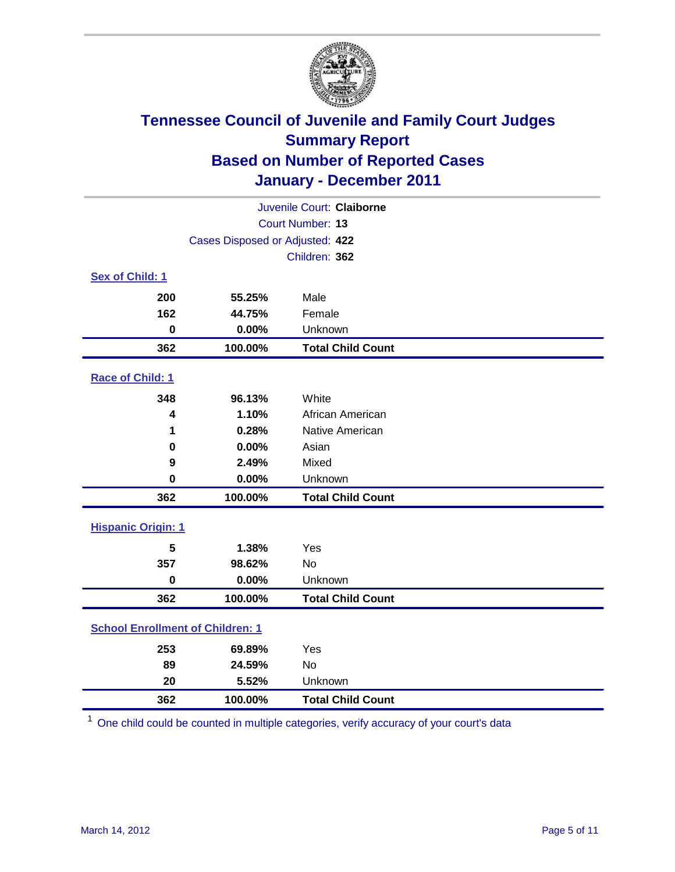

| Juvenile Court: Claiborne               |                                 |                          |  |  |  |
|-----------------------------------------|---------------------------------|--------------------------|--|--|--|
|                                         | Court Number: 13                |                          |  |  |  |
|                                         | Cases Disposed or Adjusted: 422 |                          |  |  |  |
|                                         |                                 | Children: 362            |  |  |  |
| Sex of Child: 1                         |                                 |                          |  |  |  |
| 200                                     | 55.25%                          | Male                     |  |  |  |
| 162                                     | 44.75%                          | Female                   |  |  |  |
| $\bf{0}$                                | 0.00%                           | Unknown                  |  |  |  |
| 362                                     | 100.00%                         | <b>Total Child Count</b> |  |  |  |
| Race of Child: 1                        |                                 |                          |  |  |  |
| 348                                     | 96.13%                          | White                    |  |  |  |
| 4                                       | 1.10%                           | African American         |  |  |  |
| 1                                       | 0.28%                           | Native American          |  |  |  |
| 0                                       | 0.00%                           | Asian                    |  |  |  |
| 9                                       | 2.49%                           | Mixed                    |  |  |  |
| $\mathbf 0$                             | 0.00%                           | Unknown                  |  |  |  |
| 362                                     | 100.00%                         | <b>Total Child Count</b> |  |  |  |
| <b>Hispanic Origin: 1</b>               |                                 |                          |  |  |  |
| 5                                       | 1.38%                           | Yes                      |  |  |  |
| 357                                     | 98.62%                          | <b>No</b>                |  |  |  |
| $\mathbf 0$                             | 0.00%                           | Unknown                  |  |  |  |
| 362                                     | 100.00%                         | <b>Total Child Count</b> |  |  |  |
| <b>School Enrollment of Children: 1</b> |                                 |                          |  |  |  |
| 253                                     | 69.89%                          | Yes                      |  |  |  |
| 89                                      | 24.59%                          | No                       |  |  |  |
| 20                                      | 5.52%                           | Unknown                  |  |  |  |
| 362                                     | 100.00%                         | <b>Total Child Count</b> |  |  |  |

One child could be counted in multiple categories, verify accuracy of your court's data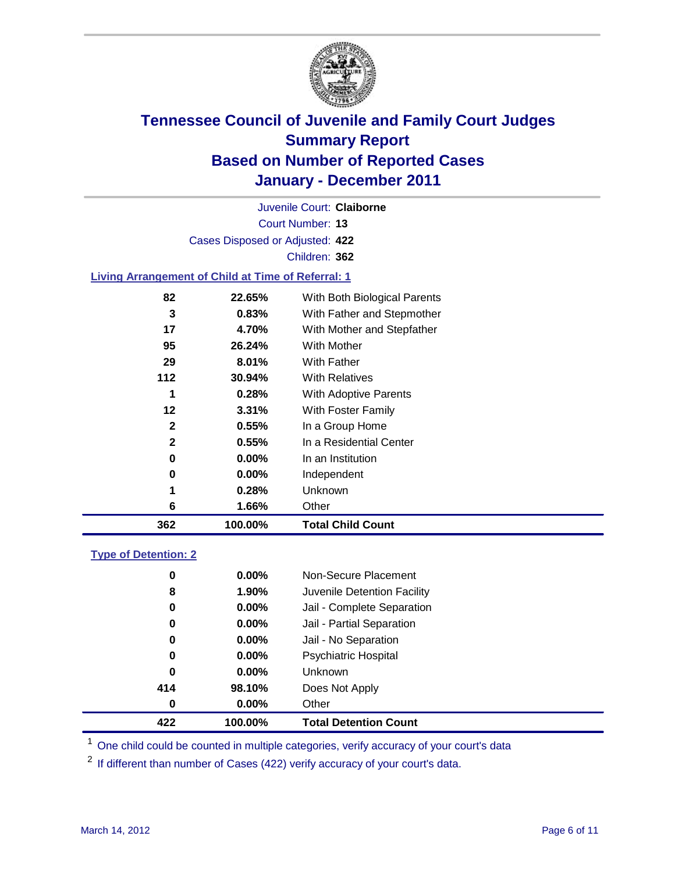

Court Number: **13** Juvenile Court: **Claiborne** Cases Disposed or Adjusted: **422** Children: **362**

### **Living Arrangement of Child at Time of Referral: 1**

| 362          | 100.00%  | <b>Total Child Count</b>     |
|--------------|----------|------------------------------|
| 6            | 1.66%    | Other                        |
| 1            | 0.28%    | Unknown                      |
| 0            | $0.00\%$ | Independent                  |
| 0            | $0.00\%$ | In an Institution            |
| 2            | 0.55%    | In a Residential Center      |
| $\mathbf{2}$ | 0.55%    | In a Group Home              |
| 12           | 3.31%    | With Foster Family           |
| 1            | 0.28%    | With Adoptive Parents        |
| 112          | 30.94%   | <b>With Relatives</b>        |
| 29           | 8.01%    | With Father                  |
| 95           | 26.24%   | With Mother                  |
| 17           | 4.70%    | With Mother and Stepfather   |
| 3            | 0.83%    | With Father and Stepmother   |
| 82           | 22.65%   | With Both Biological Parents |
|              |          |                              |

### **Type of Detention: 2**

| 422 | 100.00%  | <b>Total Detention Count</b> |  |
|-----|----------|------------------------------|--|
| 0   | $0.00\%$ | Other                        |  |
| 414 | 98.10%   | Does Not Apply               |  |
| 0   | $0.00\%$ | <b>Unknown</b>               |  |
| 0   | $0.00\%$ | <b>Psychiatric Hospital</b>  |  |
| 0   | 0.00%    | Jail - No Separation         |  |
| 0   | $0.00\%$ | Jail - Partial Separation    |  |
| 0   | $0.00\%$ | Jail - Complete Separation   |  |
| 8   | 1.90%    | Juvenile Detention Facility  |  |
| 0   | $0.00\%$ | Non-Secure Placement         |  |
|     |          |                              |  |

<sup>1</sup> One child could be counted in multiple categories, verify accuracy of your court's data

<sup>2</sup> If different than number of Cases (422) verify accuracy of your court's data.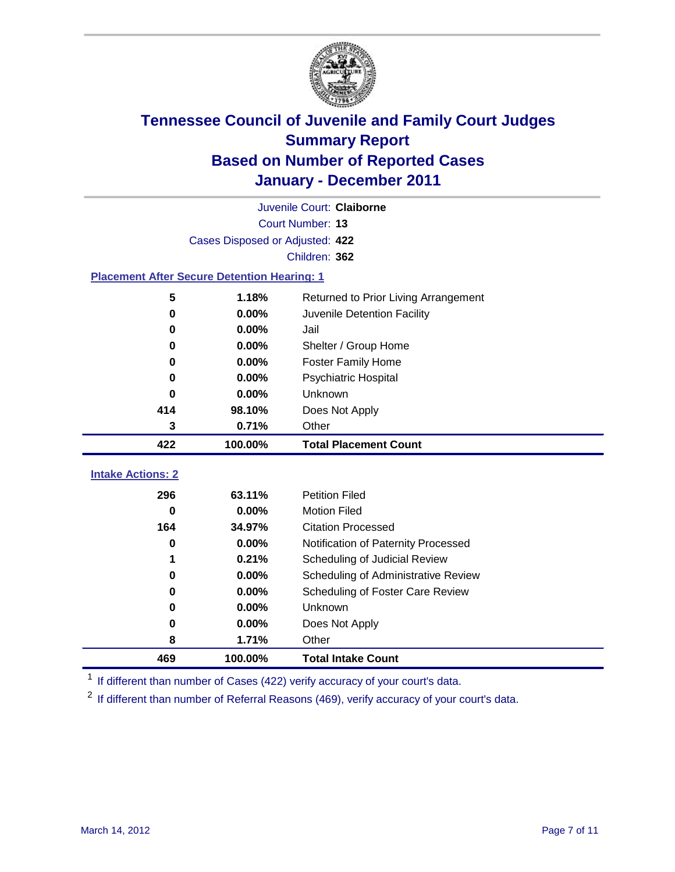

|                          | Juvenile Court: Claiborne                          |                                      |  |  |  |
|--------------------------|----------------------------------------------------|--------------------------------------|--|--|--|
|                          | Court Number: 13                                   |                                      |  |  |  |
|                          | Cases Disposed or Adjusted: 422                    |                                      |  |  |  |
|                          | Children: 362                                      |                                      |  |  |  |
|                          | <b>Placement After Secure Detention Hearing: 1</b> |                                      |  |  |  |
| 5                        | 1.18%                                              | Returned to Prior Living Arrangement |  |  |  |
| 0                        | 0.00%                                              | Juvenile Detention Facility          |  |  |  |
| 0                        | 0.00%                                              | Jail                                 |  |  |  |
| 0                        | 0.00%                                              | Shelter / Group Home                 |  |  |  |
| 0                        | 0.00%                                              | <b>Foster Family Home</b>            |  |  |  |
| 0                        | 0.00%                                              | Psychiatric Hospital                 |  |  |  |
| 0                        | 0.00%                                              | Unknown                              |  |  |  |
| 414                      | 98.10%                                             | Does Not Apply                       |  |  |  |
| 3                        | 0.71%                                              | Other                                |  |  |  |
|                          |                                                    |                                      |  |  |  |
| 422                      | 100.00%                                            | <b>Total Placement Count</b>         |  |  |  |
| <b>Intake Actions: 2</b> |                                                    |                                      |  |  |  |
| 296                      | 63.11%                                             | <b>Petition Filed</b>                |  |  |  |
| $\bf{0}$                 | 0.00%                                              | <b>Motion Filed</b>                  |  |  |  |
| 164                      | 34.97%                                             | <b>Citation Processed</b>            |  |  |  |
| 0                        | 0.00%                                              | Notification of Paternity Processed  |  |  |  |
| 1                        | 0.21%                                              | Scheduling of Judicial Review        |  |  |  |
| 0                        | 0.00%                                              | Scheduling of Administrative Review  |  |  |  |
| 0                        | 0.00%                                              | Scheduling of Foster Care Review     |  |  |  |
| $\bf{0}$                 | 0.00%                                              | Unknown                              |  |  |  |
| 0                        | 0.00%                                              | Does Not Apply                       |  |  |  |
| 8                        | 1.71%                                              | Other                                |  |  |  |

<sup>1</sup> If different than number of Cases (422) verify accuracy of your court's data.

<sup>2</sup> If different than number of Referral Reasons (469), verify accuracy of your court's data.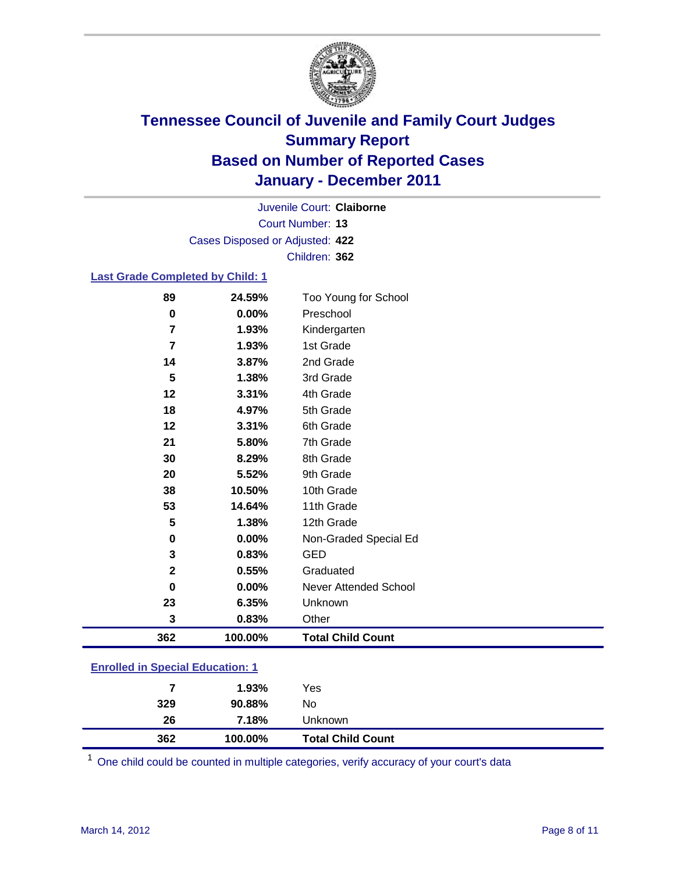

Court Number: **13** Juvenile Court: **Claiborne** Cases Disposed or Adjusted: **422** Children: **362**

#### **Last Grade Completed by Child: 1**

| 89           | 24.59%  | Too Young for School     |  |
|--------------|---------|--------------------------|--|
| $\mathbf 0$  | 0.00%   | Preschool                |  |
| 7            | 1.93%   | Kindergarten             |  |
| 7            | 1.93%   | 1st Grade                |  |
| 14           | 3.87%   | 2nd Grade                |  |
| 5            | 1.38%   | 3rd Grade                |  |
| 12           | 3.31%   | 4th Grade                |  |
| 18           | 4.97%   | 5th Grade                |  |
| 12           | 3.31%   | 6th Grade                |  |
| 21           | 5.80%   | 7th Grade                |  |
| 30           | 8.29%   | 8th Grade                |  |
| 20           | 5.52%   | 9th Grade                |  |
| 38           | 10.50%  | 10th Grade               |  |
| 53           | 14.64%  | 11th Grade               |  |
| 5            | 1.38%   | 12th Grade               |  |
| 0            | 0.00%   | Non-Graded Special Ed    |  |
| 3            | 0.83%   | <b>GED</b>               |  |
| $\mathbf{2}$ | 0.55%   | Graduated                |  |
| 0            | 0.00%   | Never Attended School    |  |
| 23           | 6.35%   | Unknown                  |  |
| 3            | 0.83%   | Other                    |  |
| 362          | 100.00% | <b>Total Child Count</b> |  |
|              |         |                          |  |

### **Enrolled in Special Education: 1**

| 329 | 1.93%<br>90.88% | Yes<br>No                |  |
|-----|-----------------|--------------------------|--|
| 26  | 7.18%           | Unknown                  |  |
| 362 | 100.00%         | <b>Total Child Count</b> |  |

One child could be counted in multiple categories, verify accuracy of your court's data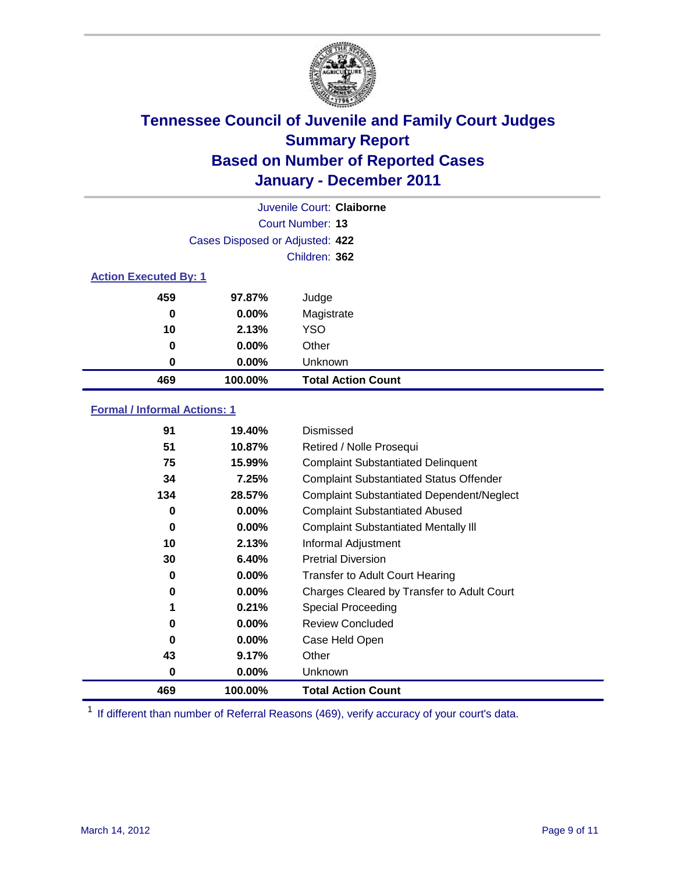

|                              | Juvenile Court: Claiborne       |                           |  |
|------------------------------|---------------------------------|---------------------------|--|
|                              |                                 | Court Number: 13          |  |
|                              | Cases Disposed or Adjusted: 422 |                           |  |
|                              | Children: 362                   |                           |  |
| <b>Action Executed By: 1</b> |                                 |                           |  |
| 459                          | 97.87%                          | Judge                     |  |
| $\bf{0}$                     | $0.00\%$                        | Magistrate                |  |
| 10                           | 2.13%                           | <b>YSO</b>                |  |
| 0                            | $0.00\%$                        | Other                     |  |
| 0                            | 0.00%                           | Unknown                   |  |
| 469                          | 100.00%                         | <b>Total Action Count</b> |  |

### **Formal / Informal Actions: 1**

| 91  | 19.40%   | Dismissed                                        |
|-----|----------|--------------------------------------------------|
| 51  | 10.87%   | Retired / Nolle Prosequi                         |
| 75  | 15.99%   | <b>Complaint Substantiated Delinquent</b>        |
| 34  | 7.25%    | <b>Complaint Substantiated Status Offender</b>   |
| 134 | 28.57%   | <b>Complaint Substantiated Dependent/Neglect</b> |
| 0   | $0.00\%$ | <b>Complaint Substantiated Abused</b>            |
| 0   | $0.00\%$ | <b>Complaint Substantiated Mentally III</b>      |
| 10  | 2.13%    | Informal Adjustment                              |
| 30  | 6.40%    | <b>Pretrial Diversion</b>                        |
| 0   | $0.00\%$ | <b>Transfer to Adult Court Hearing</b>           |
| 0   | $0.00\%$ | Charges Cleared by Transfer to Adult Court       |
| 1   | 0.21%    | <b>Special Proceeding</b>                        |
| 0   | $0.00\%$ | <b>Review Concluded</b>                          |
| 0   | $0.00\%$ | Case Held Open                                   |
| 43  | 9.17%    | Other                                            |
| 0   | $0.00\%$ | Unknown                                          |
| 469 | 100.00%  | <b>Total Action Count</b>                        |

<sup>1</sup> If different than number of Referral Reasons (469), verify accuracy of your court's data.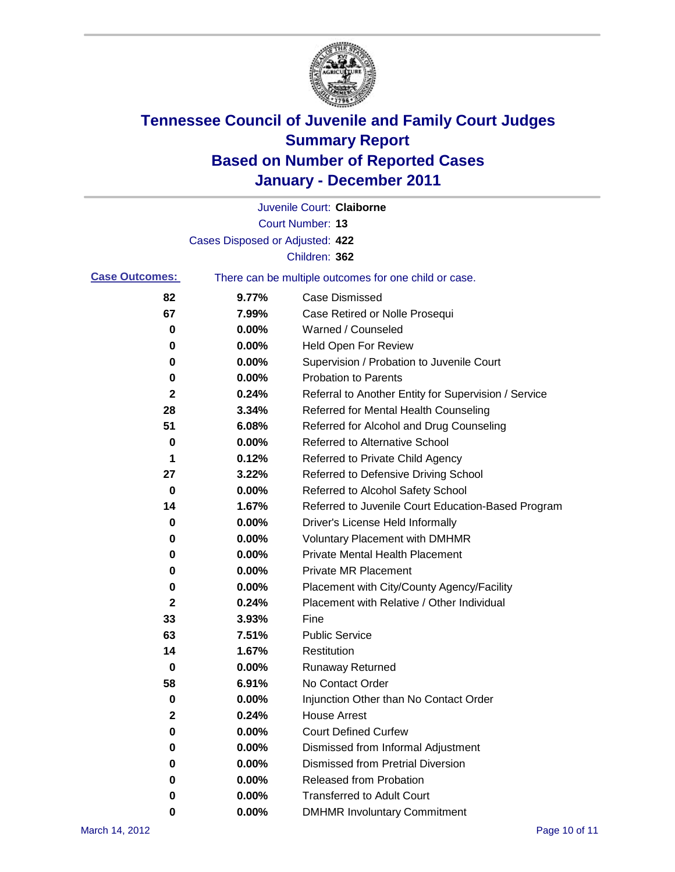

|                       |                                 | Juvenile Court: Claiborne                             |
|-----------------------|---------------------------------|-------------------------------------------------------|
|                       |                                 | <b>Court Number: 13</b>                               |
|                       | Cases Disposed or Adjusted: 422 |                                                       |
|                       |                                 | Children: 362                                         |
| <b>Case Outcomes:</b> |                                 | There can be multiple outcomes for one child or case. |
| 82                    | 9.77%                           | <b>Case Dismissed</b>                                 |
| 67                    | 7.99%                           | Case Retired or Nolle Prosequi                        |
| 0                     | 0.00%                           | Warned / Counseled                                    |
| 0                     | 0.00%                           | Held Open For Review                                  |
| 0                     | 0.00%                           | Supervision / Probation to Juvenile Court             |
| 0                     | 0.00%                           | <b>Probation to Parents</b>                           |
| 2                     | 0.24%                           | Referral to Another Entity for Supervision / Service  |
| 28                    | 3.34%                           | Referred for Mental Health Counseling                 |
| 51                    | 6.08%                           | Referred for Alcohol and Drug Counseling              |
| 0                     | 0.00%                           | <b>Referred to Alternative School</b>                 |
| 1                     | 0.12%                           | Referred to Private Child Agency                      |
| 27                    | 3.22%                           | Referred to Defensive Driving School                  |
| 0                     | 0.00%                           | Referred to Alcohol Safety School                     |
| 14                    | 1.67%                           | Referred to Juvenile Court Education-Based Program    |
| 0                     | 0.00%                           | Driver's License Held Informally                      |
| 0                     | 0.00%                           | <b>Voluntary Placement with DMHMR</b>                 |
| 0                     | 0.00%                           | Private Mental Health Placement                       |
| 0                     | 0.00%                           | <b>Private MR Placement</b>                           |
| 0                     | 0.00%                           | Placement with City/County Agency/Facility            |
| 2                     | 0.24%                           | Placement with Relative / Other Individual            |
| 33                    | 3.93%                           | Fine                                                  |
| 63                    | 7.51%                           | <b>Public Service</b>                                 |
| 14                    | 1.67%                           | Restitution                                           |
| 0                     | 0.00%                           | <b>Runaway Returned</b>                               |
| 58                    | 6.91%                           | No Contact Order                                      |
| 0                     | 0.00%                           | Injunction Other than No Contact Order                |
| 2                     | 0.24%                           | <b>House Arrest</b>                                   |
| 0                     | 0.00%                           | <b>Court Defined Curfew</b>                           |
| 0                     | $0.00\%$                        | Dismissed from Informal Adjustment                    |
| 0                     | $0.00\%$                        | <b>Dismissed from Pretrial Diversion</b>              |
| 0                     | 0.00%                           | Released from Probation                               |
| 0                     | 0.00%                           | <b>Transferred to Adult Court</b>                     |
| 0                     | 0.00%                           | <b>DMHMR Involuntary Commitment</b>                   |